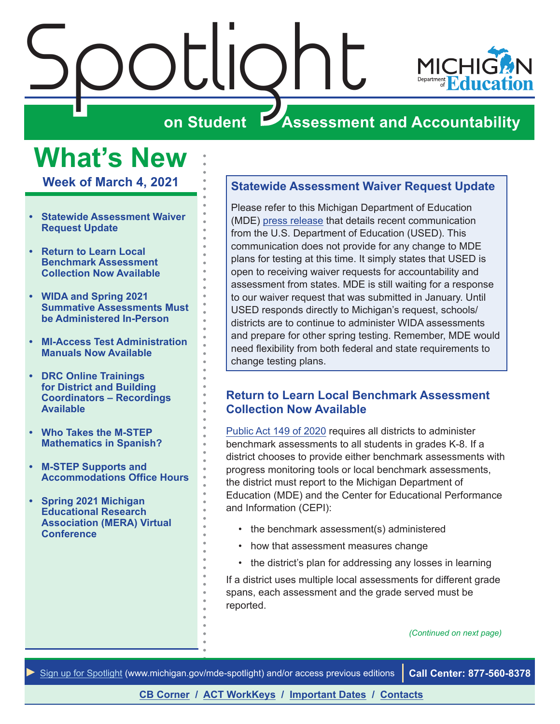<span id="page-0-0"></span>

## **What's New**

**Week of March 4, 2021**

- **• Statewide Assessment Waiver Request Update**
- **• Return to Learn Local Benchmark Assessment Collection Now Available**
- **• [WIDA and Spring 2021](#page-1-0)  [Summative Assessments Must](#page-1-0)  [be Administered In-Person](#page-1-0)**
- **• [MI-Access Test Administration](#page-1-0)  [Manuals Now Available](#page-1-0)**
- **• [DRC Online Trainings](#page-2-0)  [for District and Building](#page-2-0)  [Coordinators – Recordings](#page-2-0)  [Available](#page-2-0)**
- **• [Who Takes the M-STEP](#page-3-0)  [Mathematics in Spanish?](#page-3-0)**
- **• [M-STEP Supports and](#page-3-0)  [Accommodations Office Hours](#page-3-0)**
- **• [Spring 2021 Michigan](#page-4-0)  [Educational Research](#page-4-0)  [Association \(MERA\) Virtual](#page-4-0)  [Conference](#page-4-0)**

#### **Statewide Assessment Waiver Request Update**

Please refer to this Michigan Department of Education (MDE) [press release](https://www.michigan.gov/mde/0,4615,7-140-37818_34785-552657--,00.html) that details recent communication from the U.S. Department of Education (USED). This communication does not provide for any change to MDE plans for testing at this time. It simply states that USED is open to receiving waiver requests for accountability and assessment from states. MDE is still waiting for a response to our waiver request that was submitted in January. Until USED responds directly to Michigan's request, schools/ districts are to continue to administer WIDA assessments and prepare for other spring testing. Remember, MDE would need flexibility from both federal and state requirements to change testing plans.

### **Return to Learn Local Benchmark Assessment Collection Now Available**

[Public Act 149 of 2020](https://gcc02.safelinks.protection.outlook.com/?url=http%3A%2F%2Fwww.legislature.mi.gov%2F(S(nemfuegxvyoinbi51j1tw3i2))%2Fmileg.aspx%3Fpage%3DgetObject%26objectName%3D2020-HB-5913&data=04%7C01%7CLongJ10%40michigan.gov%7Cb1ce0e49e673489ecaa808d8bcb178df%7Cd5fb7087377742ad966a892ef47225d1%7C0%7C0%7C637466817703104468%7CUnknown%7CTWFpbGZsb3d8eyJWIjoiMC4wLjAwMDAiLCJQIjoiV2luMzIiLCJBTiI6Ik1haWwiLCJXVCI6Mn0%3D%7C1000&sdata=kUpElxoUcNLmQ%2FzUaPsPhfTPeYfZjuRqGzaFolhuCmo%3D&reserved=0) requires all districts to administer benchmark assessments to all students in grades K-8. If a district chooses to provide either benchmark assessments with progress monitoring tools or local benchmark assessments, the district must report to the Michigan Department of Education (MDE) and the Center for Educational Performance and Information (CEPI):

- the benchmark assessment(s) administered
- how that assessment measures change
- the district's plan for addressing any losses in learning

If a district uses multiple local assessments for different grade spans, each assessment and the grade served must be reported.

*(Continued on next page)*

*►* [Sign up for Spotlight](https://public.govdelivery.com/accounts/MIMDE/subscriber/new) ([www.michigan.gov/mde](www.michigan.gov/mde-spotlight)-spotlight) and/or access previous editions **Call Center: 877-560-8378**

**[CB Corner](#page-5-0) / [ACT WorkKeys](#page-7-0) / [Important Dates](#page-9-0) / [Contacts](#page-10-0)**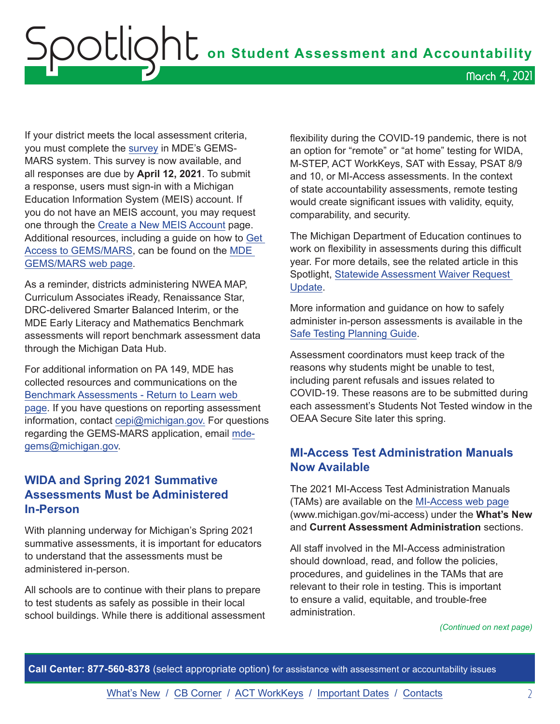<span id="page-1-0"></span>If your district meets the local assessment criteria, you must complete the [survey](https://mdoe.state.mi.us/GEMS/public/QuestionnaireHome.aspx?code=i8d9taap) in MDE's GEMS-MARS system. This survey is now available, and all responses are due by **April 12, 2021**. To submit a response, users must sign-in with a Michigan Education Information System (MEIS) account. If you do not have an MEIS account, you may request one through the [Create a New MEIS Account](https://mdoe.state.mi.us/MEIS/createnewaccount.aspx) page. Additional resources, including a guide on how to [Get](https://www.michigan.gov/documents/mde/GEMS_-_Getting_Access_10-15-18_636123_7.pdf)  [Access to GEMS/MARS,](https://www.michigan.gov/documents/mde/GEMS_-_Getting_Access_10-15-18_636123_7.pdf) can be found on the [MDE](https://www.michigan.gov/mde/0,4615,7-140-5236_63101---,00.html)  [GEMS/MARS web page.](https://www.michigan.gov/mde/0,4615,7-140-5236_63101---,00.html)

As a reminder, districts administering NWEA MAP, Curriculum Associates iReady, Renaissance Star, DRC-delivered Smarter Balanced Interim, or the MDE Early Literacy and Mathematics Benchmark assessments will report benchmark assessment data through the Michigan Data Hub.

For additional information on PA 149, MDE has collected resources and communications on the [Benchmark Assessments - Return to Learn web](https://www.michigan.gov/mde/0,4615,7-140-22709_102327---,00.html)  [page](https://www.michigan.gov/mde/0,4615,7-140-22709_102327---,00.html). If you have questions on reporting assessment information, contact [cepi@michigan.gov.](mailto:cepi%40michigan.gov.?subject=) For questions regarding the GEMS-MARS application, email [mde](mailto:mde-gems%40michigan.gov?subject=)[gems@michigan.gov](mailto:mde-gems%40michigan.gov?subject=).

## **WIDA and Spring 2021 Summative Assessments Must be Administered In-Person**

With planning underway for Michigan's Spring 2021 summative assessments, it is important for educators to understand that the assessments must be administered in-person.

All schools are to continue with their plans to prepare to test students as safely as possible in their local school buildings. While there is additional assessment

flexibility during the COVID-19 pandemic, there is not an option for "remote" or "at home" testing for WIDA, M-STEP, ACT WorkKeys, SAT with Essay, PSAT 8/9 and 10, or MI-Access assessments. In the context of state accountability assessments, remote testing would create significant issues with validity, equity, comparability, and security.

The Michigan Department of Education continues to work on flexibility in assessments during this difficult year. For more details, see the related article in this Spotlight, [Statewide Assessment Waiver Request](#page-0-0)  [Update.](#page-0-0)

More information and guidance on how to safely administer in-person assessments is available in the [Safe Testing Planning Guide.](https://www.michigan.gov/documents/mde/Safe_Testing_Planning_Guide_716132_7.pdf)

Assessment coordinators must keep track of the reasons why students might be unable to test, including parent refusals and issues related to COVID-19. These reasons are to be submitted during each assessment's Students Not Tested window in the OEAA Secure Site later this spring.

### **MI-Access Test Administration Manuals Now Available**

The 2021 MI-Access Test Administration Manuals (TAMs) are available on the [MI-Access web page](http://www.michigan.gov/mi-access) (www.michigan.gov/mi-access) under the **What's New**  and **Current Assessment Administration** sections.

All staff involved in the MI-Access administration should download, read, and follow the policies, procedures, and guidelines in the TAMs that are relevant to their role in testing. This is important to ensure a valid, equitable, and trouble-free administration.

#### *(Continued on next page)*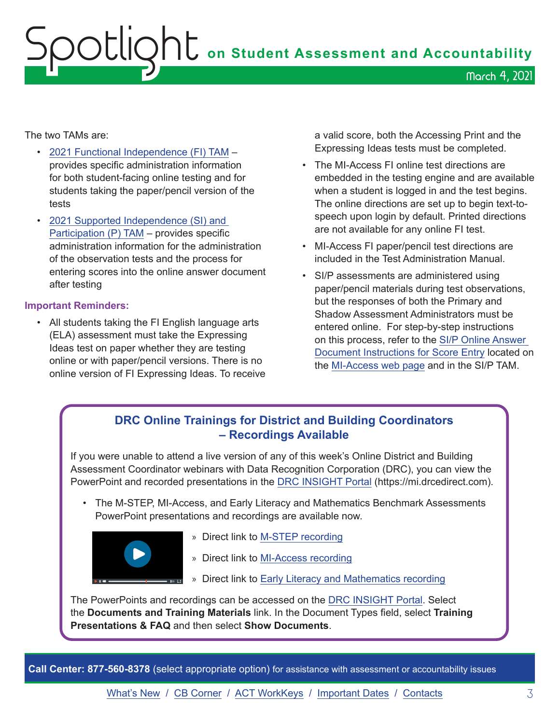## <span id="page-2-0"></span>Spotlight **on Student Assessment and Accountability** March 4, 2021

The two TAMs are:

- [2021 Functional Independence \(FI\) TAM](https://www.michigan.gov/documents/mde/MI-ACCESS_Functional_Independence_TAM_635412_7.pdf) provides specific administration information for both student-facing online testing and for students taking the paper/pencil version of the tests
- [2021 Supported Independence \(SI\) and](https://www.michigan.gov/documents/mde/Participation_and_Supported_Independence_TAM_635414_7.pdf)  [Participation \(P\) TAM](https://www.michigan.gov/documents/mde/Participation_and_Supported_Independence_TAM_635414_7.pdf) – provides specific administration information for the administration of the observation tests and the process for entering scores into the online answer document after testing

#### **Important Reminders:**

• All students taking the FI English language arts (ELA) assessment must take the Expressing Ideas test on paper whether they are testing online or with paper/pencil versions. There is no online version of FI Expressing Ideas. To receive a valid score, both the Accessing Print and the Expressing Ideas tests must be completed.

- The MI-Access FI online test directions are embedded in the testing engine and are available when a student is logged in and the test begins. The online directions are set up to begin text-tospeech upon login by default. Printed directions are not available for any online FI test.
- MI-Access FI paper/pencil test directions are included in the Test Administration Manual.
- SI/P assessments are administered using paper/pencil materials during test observations, but the responses of both the Primary and Shadow Assessment Administrators must be entered online. For step-by-step instructions on this process, refer to the [SI/P Online Answer](https://www.michigan.gov/documents/mde/P-SI_Online_Answer_Document_-_Instructions_522454_7.pdf)  [Document Instructions for Score Entry](https://www.michigan.gov/documents/mde/P-SI_Online_Answer_Document_-_Instructions_522454_7.pdf) located on the [MI-Access web page](http://www.michigan.gov/mi-access) and in the SI/P TAM.

## **DRC Online Trainings for District and Building Coordinators – Recordings Available**

If you were unable to attend a live version of any of this week's Online District and Building Assessment Coordinator webinars with Data Recognition Corporation (DRC), you can view the PowerPoint and recorded presentations in the [DRC INSIGHT Portal](https://mi.drcedirect.com) (https://mi.drcedirect.com).

• The M-STEP, MI-Access, and Early Literacy and Mathematics Benchmark Assessments PowerPoint presentations and recordings are available now.



- » Direct link to [M-STEP recording](https://datarecognitioncorp.zoom.us/rec/play/oDxX9RF3pPThdMORVmWlbr8O45mk3gLPIqY0PZ-SKB7PcQFEW2On8-yOj8bYdlQgQGjkWwZWyGC87wop.I9Zv5wBbridFFkH3?continueMode=true&_x_zm_rtaid=VjE19NYwS3m-r3fGD1FsZA.1614706109870.bb3b15023818c37c99e5c4a5fad379c5&_x_zm_rhtaid=290)
- » Direct link to [MI-Access recording](https://datarecognitioncorp.zoom.us/rec/share/3uUVrrfRywkzqNZVEsglhi60MEphUwwLqLz_ZpDTfZhP5u4BvjBXkq59vz9qQbKO.wmQPNxXuTe4lwQHs)
- **EXECUTE:** » Direct link to [Early Literacy and Mathematics recording](https://datarecognitioncorp.zoom.us/rec/share/yx_DjDtXUOTFxJZa-ckjedaO8G9JWPBlmMqAf8dILuynxlJj0loUFnHdv-Iljzul.q9pRU5tPKIzjCRfd)

The PowerPoints and recordings can be accessed on the [DRC INSIGHT Portal](https://mi.drcedirect.com). Select the **Documents and Training Materials** link. In the Document Types field, select **Training Presentations & FAQ** and then select **Show Documents**.

**Call Center: 877-560-8378** (select appropriate option) for assistance with assessment or accountability issues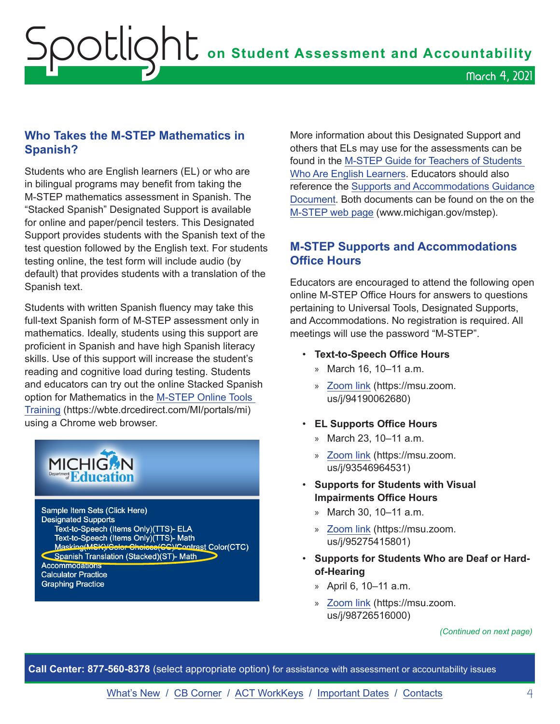### March 4, 2021

## <span id="page-3-0"></span>**Who Takes the M-STEP Mathematics in Spanish?**

Students who are English learners (EL) or who are in bilingual programs may benefit from taking the M-STEP mathematics assessment in Spanish. The "Stacked Spanish" Designated Support is available for online and paper/pencil testers. This Designated Support provides students with the Spanish text of the test question followed by the English text. For students testing online, the test form will include audio (by default) that provides students with a translation of the Spanish text.

Students with written Spanish fluency may take this full-text Spanish form of M-STEP assessment only in mathematics. Ideally, students using this support are proficient in Spanish and have high Spanish literacy skills. Use of this support will increase the student's reading and cognitive load during testing. Students and educators can try out the online Stacked Spanish option for Mathematics in the [M-STEP Online Tools](https://wbte.drcedirect.com/MI/portals/mi)  [Training](https://wbte.drcedirect.com/MI/portals/mi) (https://wbte.drcedirect.com/MI/portals/mi) using a Chrome web browser.



More information about this Designated Support and others that ELs may use for the assessments can be found in the [M-STEP Guide for Teachers of Students](https://gcc02.safelinks.protection.outlook.com/?url=https%3A%2F%2Fwww.michigan.gov%2Fdocuments%2Fmde%2FM-Step_Guide_for_Teachers_of_Students_-_EL_681770_7.pdf&data=04%7C01%7CPaulJ%40michigan.gov%7C700693a416d64e18cf3408d8dd9bccd1%7Cd5fb7087377742ad966a892ef47225d1%7C0%7C0%7C637503008514477541%7CUnknown%7CTWFpbGZsb3d8eyJWIjoiMC4wLjAwMDAiLCJQIjoiV2luMzIiLCJBTiI6Ik1haWwiLCJXVCI6Mn0%3D%7C1000&sdata=AquLIW7Q78RxxkTI7BPYPq6iHLcFcO9HsVDj81WFa8E%3D&reserved=0)  [Who Are English Learners.](https://gcc02.safelinks.protection.outlook.com/?url=https%3A%2F%2Fwww.michigan.gov%2Fdocuments%2Fmde%2FM-Step_Guide_for_Teachers_of_Students_-_EL_681770_7.pdf&data=04%7C01%7CPaulJ%40michigan.gov%7C700693a416d64e18cf3408d8dd9bccd1%7Cd5fb7087377742ad966a892ef47225d1%7C0%7C0%7C637503008514477541%7CUnknown%7CTWFpbGZsb3d8eyJWIjoiMC4wLjAwMDAiLCJQIjoiV2luMzIiLCJBTiI6Ik1haWwiLCJXVCI6Mn0%3D%7C1000&sdata=AquLIW7Q78RxxkTI7BPYPq6iHLcFcO9HsVDj81WFa8E%3D&reserved=0) Educators should also reference the [Supports and Accommodations Guidance](https://www.michigan.gov/documents/mde/Michigan_Accommodations_Manual.final_480016_7.pdf)  [Document.](https://www.michigan.gov/documents/mde/Michigan_Accommodations_Manual.final_480016_7.pdf) Both documents can be found on the on the [M-STEP web page](www.michigan.gov/mstep) (www.michigan.gov/mstep).

## **M-STEP Supports and Accommodations Office Hours**

Educators are encouraged to attend the following open online M-STEP Office Hours for answers to questions pertaining to Universal Tools, Designated Supports, and Accommodations. No registration is required. All meetings will use the password "M-STEP".

- **Text-to-Speech Office Hours**
	- » March 16, 10–11 a.m.
	- » [Zoom link](https://msu.zoom.us/j/94190062680) (https://msu.zoom. us/j/94190062680)
- **EL Supports Office Hours** 
	- » March 23, 10–11 a.m.
	- » [Zoom link](https://msu.zoom.us/j/93546964531) (https://msu.zoom. us/j/93546964531)
- **Supports for Students with Visual Impairments Office Hours**
	- » March 30, 10–11 a.m.
	- » [Zoom link](https://msu.zoom.us/j/95275415801) (https://msu.zoom. us/j/95275415801)
- **Supports for Students Who are Deaf or Hardof-Hearing**
	- » April 6, 10–11 a.m.
	- » [Zoom link](https://msu.zoom.us/j/98726516000) (https://msu.zoom. us/j/98726516000)

*(Continued on next page)*

**Call Center: 877-560-8378** (select appropriate option) for assistance with assessment or accountability issues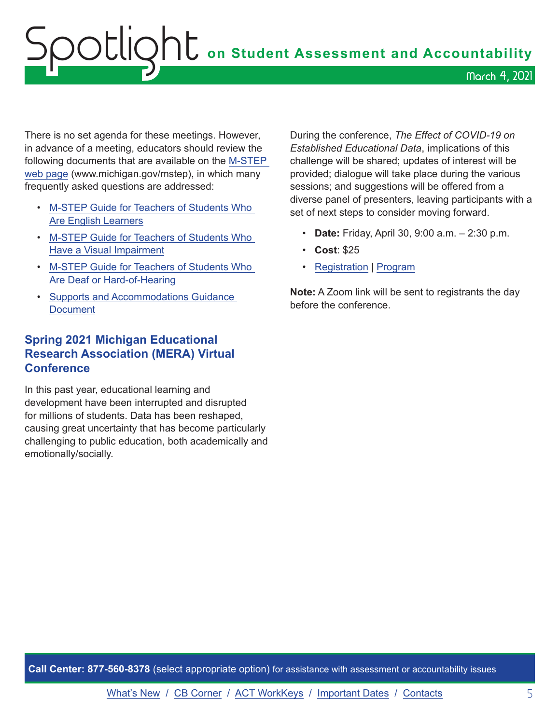## <span id="page-4-0"></span>OOCLIQhL on Student Assessment and Accountability March 4, 2021

There is no set agenda for these meetings. However, in advance of a meeting, educators should review the following documents that are available on the [M-STEP](www.michigan.gov/mstep)  [web page](www.michigan.gov/mstep) (www.michigan.gov/mstep), in which many frequently asked questions are addressed:

- [M-STEP Guide for Teachers of Students Who](https://www.michigan.gov/documents/mde/M-Step_Guide_for_Teachers_of_Students_-_EL_681770_7.pdf)  [Are English Learners](https://www.michigan.gov/documents/mde/M-Step_Guide_for_Teachers_of_Students_-_EL_681770_7.pdf)
- [M-STEP Guide for Teachers of Students Who](https://www.michigan.gov/documents/mde/M-Step_Guide_for_Teachers_of_Students_-_VI_681771_7.pdf)  [Have a Visual Impairment](https://www.michigan.gov/documents/mde/M-Step_Guide_for_Teachers_of_Students_-_VI_681771_7.pdf)
- [M-STEP Guide for Teachers of Students Who](https://www.michigan.gov/documents/mde/M-Step_Guide_for_Teachers_of_Students_-_DHH_681769_7.pdf)  [Are Deaf or Hard-of-Hearing](https://www.michigan.gov/documents/mde/M-Step_Guide_for_Teachers_of_Students_-_DHH_681769_7.pdf)
- [Supports and Accommodations Guidance](https://www.michigan.gov/documents/mde/Michigan_Accommodations_Manual.final_480016_7.pdf)  **[Document](https://www.michigan.gov/documents/mde/Michigan_Accommodations_Manual.final_480016_7.pdf)**

## **Spring 2021 Michigan Educational Research Association (MERA) Virtual Conference**

In this past year, educational learning and development have been interrupted and disrupted for millions of students. Data has been reshaped, causing great uncertainty that has become particularly challenging to public education, both academically and emotionally/socially.

During the conference, *The Effect of COVID-19 on Established Educational Data*, implications of this challenge will be shared; updates of interest will be provided; dialogue will take place during the various sessions; and suggestions will be offered from a diverse panel of presenters, leaving participants with a set of next steps to consider moving forward.

- **Date:** Friday, April 30, 9:00 a.m. 2:30 p.m.
- **Cost**: \$25
- [Registration](https://catalog.geneseeisd.org/catalog/eventdetails/1828) | [Program](https://www.smore.com/645dp)

**Note:** A Zoom link will be sent to registrants the day before the conference.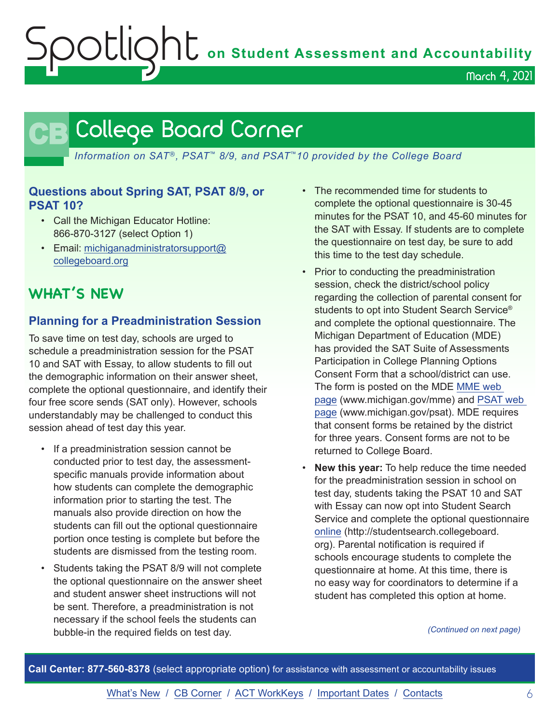OCLIQht on Student Assessment and Accountability

March 4, 2021

## **CB** College Board Corner

<span id="page-5-0"></span>*Information on SAT*®*, PSAT*™ *8/9, and PSAT*™*10 provided by the College Board*

### **Questions about Spring SAT, PSAT 8/9, or PSAT 10?**

- Call the Michigan Educator Hotline: 866-870-3127 (select Option 1)
- Email: [michiganadministratorsupport@](mailto:michiganadministratorsupport%40collegeboard.org?subject=) [collegeboard.org](mailto:michiganadministratorsupport%40collegeboard.org?subject=)

## **WHAT'S NEW**

## **Planning for a Preadministration Session**

To save time on test day, schools are urged to schedule a preadministration session for the PSAT 10 and SAT with Essay, to allow students to fill out the demographic information on their answer sheet, complete the optional questionnaire, and identify their four free score sends (SAT only). However, schools understandably may be challenged to conduct this session ahead of test day this year.

- If a preadministration session cannot be conducted prior to test day, the assessmentspecific manuals provide information about how students can complete the demographic information prior to starting the test. The manuals also provide direction on how the students can fill out the optional questionnaire portion once testing is complete but before the students are dismissed from the testing room.
- Students taking the PSAT 8/9 will not complete the optional questionnaire on the answer sheet and student answer sheet instructions will not be sent. Therefore, a preadministration is not necessary if the school feels the students can bubble-in the required fields on test day.
- The recommended time for students to complete the optional questionnaire is 30-45 minutes for the PSAT 10, and 45-60 minutes for the SAT with Essay. If students are to complete the questionnaire on test day, be sure to add this time to the test day schedule.
- Prior to conducting the preadministration session, check the district/school policy regarding the collection of parental consent for students to opt into Student Search Service® and complete the optional questionnaire. The Michigan Department of Education (MDE) has provided the SAT Suite of Assessments Participation in College Planning Options Consent Form that a school/district can use. The form is posted on the MDE [MME web](www.michigan.gov/mme)  [page](www.michigan.gov/mme) (www.michigan.gov/mme) and [PSAT web](http://www.michigan.gov/psat)  [page](http://www.michigan.gov/psat) (www.michigan.gov/psat). MDE requires that consent forms be retained by the district for three years. Consent forms are not to be returned to College Board.
- **New this year:** To help reduce the time needed for the preadministration session in school on test day, students taking the PSAT 10 and SAT with Essay can now opt into Student Search Service and complete the optional questionnaire [online](http://studentsearch.collegeboard.org) (http://studentsearch.collegeboard. org). Parental notification is required if schools encourage students to complete the questionnaire at home. At this time, there is no easy way for coordinators to determine if a student has completed this option at home.

*(Continued on next page)*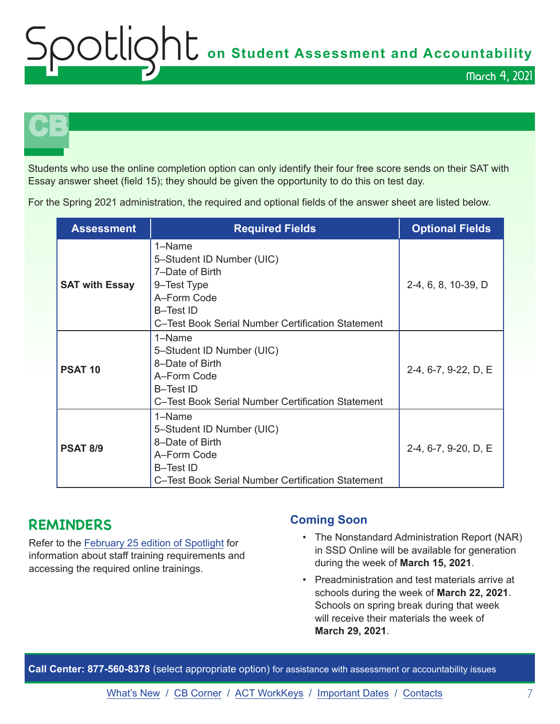# OCLIQht on Student Assessment and Accountability

March 4, 2021



Students who use the online completion option can only identify their four free score sends on their SAT with Essay answer sheet (field 15); they should be given the opportunity to do this on test day.

For the Spring 2021 administration, the required and optional fields of the answer sheet are listed below.

| <b>Assessment</b>     | <b>Required Fields</b>                                                                                                                                 | <b>Optional Fields</b> |
|-----------------------|--------------------------------------------------------------------------------------------------------------------------------------------------------|------------------------|
| <b>SAT with Essay</b> | 1-Name<br>5-Student ID Number (UIC)<br>7-Date of Birth<br>9-Test Type<br>A-Form Code<br>B-Test ID<br>C-Test Book Serial Number Certification Statement | 2-4, 6, 8, 10-39, D    |
| <b>PSAT 10</b>        | 1-Name<br>5-Student ID Number (UIC)<br>8-Date of Birth<br>A-Form Code<br>B-Test ID<br>C-Test Book Serial Number Certification Statement                | 2-4, 6-7, 9-22, D, E   |
| <b>PSAT 8/9</b>       | 1-Name<br>5-Student ID Number (UIC)<br>8-Date of Birth<br>A-Form Code<br>B-Test ID<br>C-Test Book Serial Number Certification Statement                | 2-4, 6-7, 9-20, D, E   |

## **REMINDERS**

Refer to the [February 25 edition of Spotlight](https://www.michigan.gov/documents/mde/Spotlight_2-25-21_717569_7.pdf) for information about staff training requirements and accessing the required online trainings.

### **Coming Soon**

- The Nonstandard Administration Report (NAR) in SSD Online will be available for generation during the week of **March 15, 2021**.
- Preadministration and test materials arrive at schools during the week of **March 22, 2021**. Schools on spring break during that week will receive their materials the week of **March 29, 2021**.

**Call Center: 877-560-8378** (select appropriate option) for assistance with assessment or accountability issues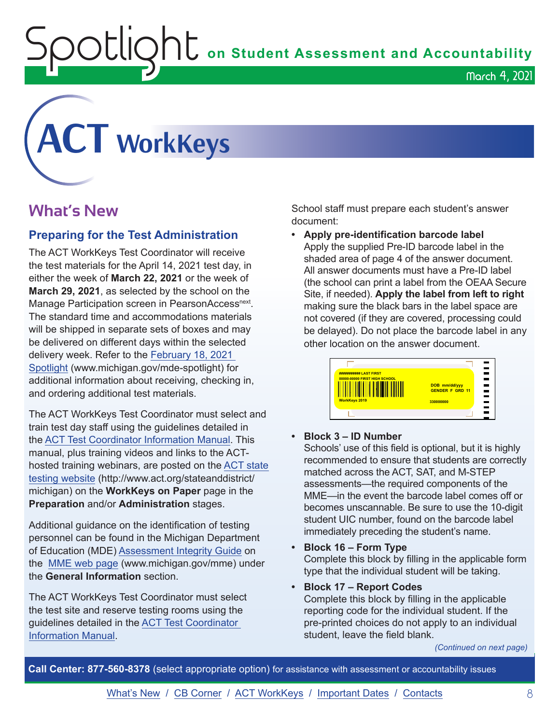$\sum_{i=1}^{n} \sum_{i=1}^{n} \sigma_i$  on Student Assessment and Accountability

<span id="page-7-0"></span>

## **What's New**

### **Preparing for the Test Administration**

The ACT WorkKeys Test Coordinator will receive the test materials for the April 14, 2021 test day, in either the week of **March 22, 2021** or the week of **March 29, 2021**, as selected by the school on the Manage Participation screen in PearsonAccess<sup>next</sup>. The standard time and accommodations materials will be shipped in separate sets of boxes and may be delivered on different days within the selected delivery week. Refer to the [February 18, 2021](https://www.michigan.gov/documents/mde/Spotlight_2-18-21_716864_7.pdf)  [Spotlight](https://www.michigan.gov/documents/mde/Spotlight_2-18-21_716864_7.pdf) (www.michigan.gov/mde-spotlight) for additional information about receiving, checking in, and ordering additional test materials.

The ACT WorkKeys Test Coordinator must select and train test day staff using the guidelines detailed in the [ACT Test Coordinator Information Manual.](https://www.act.org/content/dam/act/secured/documents/pdfs/state-district-test-coordinator-paper-test.pdf) This manual, plus training videos and links to the ACThosted training webinars, are posted on the [ACT state](http://www.act.org/stateanddistrict/michigan)  [testing website](http://www.act.org/stateanddistrict/michigan) (http://www.act.org/stateanddistrict/ michigan) on the **WorkKeys on Paper** page in the **Preparation** and/or **Administration** stages.

Additional guidance on the identification of testing personnel can be found in the Michigan Department of Education (MDE) [Assessment Integrity Guide](https://www.michigan.gov/documents/mde/Assessment_Integrity_Guide_291950_7.pdf) on the [MME web page](www.michigan.gov/mme) (www.michigan.gov/mme) under the **General Information** section.

The ACT WorkKeys Test Coordinator must select the test site and reserve testing rooms using the guidelines detailed in the [ACT Test Coordinator](https://www.act.org/content/dam/act/secured/documents/pdfs/state-district-test-coordinator-paper-test.pdf)  [Information Manual.](https://www.act.org/content/dam/act/secured/documents/pdfs/state-district-test-coordinator-paper-test.pdf)

School staff must prepare each student's answer document:

**• Apply pre-identification barcode label**  Apply the supplied Pre-ID barcode label in the shaded area of page 4 of the answer document. All answer documents must have a Pre-ID label (the school can print a label from the OEAA Secure Site, if needed). **Apply the label from left to right** making sure the black bars in the label space are not covered (if they are covered, processing could be delayed). Do not place the barcode label in any other location on the answer document.



#### **• Block 3 – ID Number**

Schools' use of this field is optional, but it is highly recommended to ensure that students are correctly matched across the ACT, SAT, and M-STEP assessments—the required components of the MME—in the event the barcode label comes off or becomes unscannable. Be sure to use the 10-digit student UIC number, found on the barcode label immediately preceding the student's name.

- **• Block 16 Form Type** Complete this block by filling in the applicable form type that the individual student will be taking.
- **• Block 17 Report Codes**  Complete this block by filling in the applicable reporting code for the individual student. If the pre-printed choices do not apply to an individual student, leave the field blank.

*(Continued on next page)*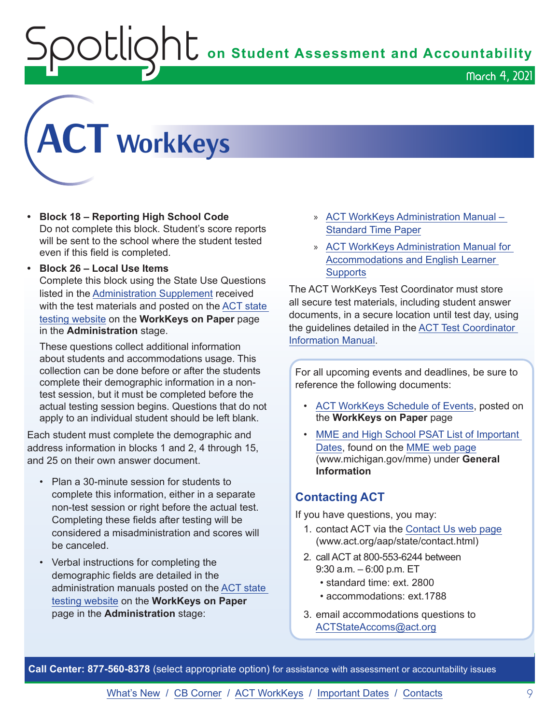OUIQhU on Student Assessment and Accountability

March 4, 2021



- **• Block 18 Reporting High School Code**  Do not complete this block. Student's score reports will be sent to the school where the student tested even if this field is completed.
- **• Block 26 Local Use Items**  Complete this block using the State Use Questions listed in the [Administration Supplement](http://www.act.org/content/dam/act/unsecured/documents/AdministrationSupplementWorkKeys-MI.pdf) received with the test materials and posted on the [ACT state](http://www.act.org/stateanddistrict/michigan)  [testing website](http://www.act.org/stateanddistrict/michigan) on the **WorkKeys on Paper** page in the **Administration** stage.

These questions collect additional information about students and accommodations usage. This collection can be done before or after the students complete their demographic information in a nontest session, but it must be completed before the actual testing session begins. Questions that do not apply to an individual student should be left blank.

Each student must complete the demographic and address information in blocks 1 and 2, 4 through 15, and 25 on their own answer document.

- Plan a 30-minute session for students to complete this information, either in a separate non-test session or right before the actual test. Completing these fields after testing will be considered a misadministration and scores will be canceled.
- Verbal instructions for completing the demographic fields are detailed in the administration manuals posted on the [ACT state](http://www.act.org/stateanddistrict/michigan)  [testing website](http://www.act.org/stateanddistrict/michigan) on the **WorkKeys on Paper** page in the **Administration** stage:
- » [ACT WorkKeys Administration Manual](http://www.act.org/content/dam/act/secured/documents/pdfs/WK-Admin-SD-Std-Time-Paper-Secured.pdf)  [Standard Time Paper](http://www.act.org/content/dam/act/secured/documents/pdfs/WK-Admin-SD-Std-Time-Paper-Secured.pdf)
- » [ACT WorkKeys Administration Manual for](http://www.act.org/content/dam/act/secured/documents/pdfs/WK-Admin-SD-Accoms-Secured.pdf)  [Accommodations and English Learner](http://www.act.org/content/dam/act/secured/documents/pdfs/WK-Admin-SD-Accoms-Secured.pdf)  **[Supports](http://www.act.org/content/dam/act/secured/documents/pdfs/WK-Admin-SD-Accoms-Secured.pdf)**

The ACT WorkKeys Test Coordinator must store all secure test materials, including student answer documents, in a secure location until test day, using the guidelines detailed in the [ACT Test Coordinator](https://www.act.org/content/dam/act/secured/documents/pdfs/state-district-test-coordinator-paper-test.pdf)  [Information Manual](https://www.act.org/content/dam/act/secured/documents/pdfs/state-district-test-coordinator-paper-test.pdf).

For all upcoming events and deadlines, be sure to reference the following documents:

- [ACT WorkKeys Schedule of Events](https://content.act.org/michigan/r/YWy2bAxclTdZAcOxrrNErw/root), posted on the **WorkKeys on Paper** page
- MME and High School PSAT List of Important [Dates](https://www.michigan.gov/mde/0,4615,7-140-22709_105605---,00.html), found on the [MME web page](www.michigan.gov/mme) (www.michigan.gov/mme) under **General Information**

## **Contacting ACT**

If you have questions, you may:

- 1. contact ACT via the [Contact Us web page](http://www.act.org/aap/state/contact.html) [\(www.act.org/aap/state/contact.html\)](https://www.act.org/aap/state/contact.html)
- 2. call ACT at 800-553-6244 between 9:30 a.m. – 6:00 p.m. ET
	- standard time: ext. 2800
	- accommodations: ext.1788
- 3. email accommodations questions to [ACTStateAccoms@act.org](mailto:ACTStateAccoms%40act.org?subject=)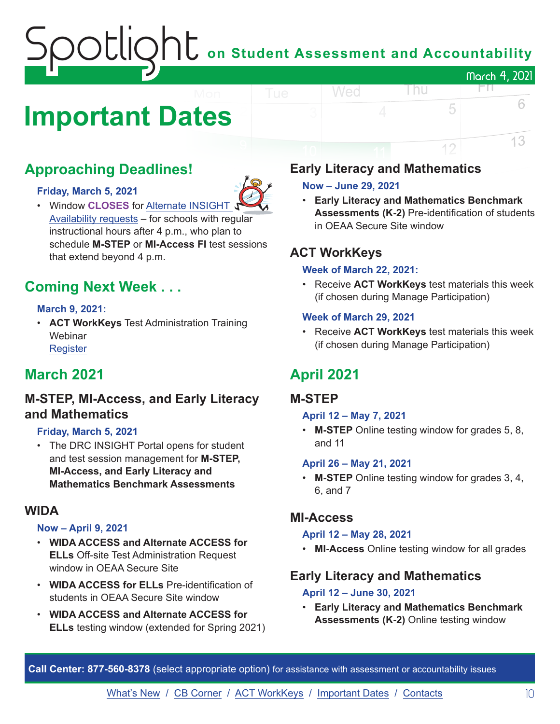## $\mathop{\rm O}\nolimits$   $\mathop{\rm Cl}\nolimits$   $\mathop{\rm O}\nolimits$   $\mathop{\rm Cl}\nolimits$  on Student Assessment and Accountability March 4, 2021 Wed l nu FП.

## <span id="page-9-0"></span>**Important Dates**

## **Approaching Deadlines!**

#### **Friday, March 5, 2021**



• Window **CLOSES** for [Alternate INSIGHT](https://www.surveymonkey.com/r/INSIGHTAvailabilityRequest)  [Availability requests](https://www.surveymonkey.com/r/INSIGHTAvailabilityRequest) – for schools with regular instructional hours after 4 p.m., who plan to schedule **M-STEP** or **MI-Access FI** test sessions that extend beyond 4 p.m.

## **Coming Next Week . . .**

### **March 9, 2021:**

• **ACT WorkKeys** Test Administration Training **Webinar** [Register](https://event.on24.com/wcc/r/2786186/CF7F33DC4E50245260EB7C422A035629)

## **March 2021**

## **M-STEP, MI-Access, and Early Literacy and Mathematics**

#### **Friday, March 5, 2021**

• The DRC INSIGHT Portal opens for student and test session management for **M-STEP, MI-Access, and Early Literacy and Mathematics Benchmark Assessments**

## **WIDA**

#### **Now – April 9, 2021**

- **WIDA ACCESS and Alternate ACCESS for ELLs** Off-site Test Administration Request window in OEAA Secure Site
- **WIDA ACCESS for ELLs** Pre-identification of students in OEAA Secure Site window
- **WIDA ACCESS and Alternate ACCESS for ELLs** testing window (extended for Spring 2021)

## **Early Literacy and Mathematics**

#### **Now – June 29, 2021**

• **Early Literacy and Mathematics Benchmark Assessments (K-2)** Pre-identification of students in OEAA Secure Site window

5

6

13

## **ACT WorkKeys**

#### **Week of March 22, 2021:**

• Receive **ACT WorkKeys** test materials this week (if chosen during Manage Participation)

#### **Week of March 29, 2021**

• Receive **ACT WorkKeys** test materials this week (if chosen during Manage Participation)

## **April 2021**

## **M-STEP**

#### **April 12 – May 7, 2021**

• **M-STEP** Online testing window for grades 5, 8, and 11

#### **April 26 – May 21, 2021**

• **M-STEP** Online testing window for grades 3, 4, 6, and 7

## **MI-Access**

#### **April 12 – May 28, 2021**

• **MI-Access** Online testing window for all grades

## **Early Literacy and Mathematics**

### **April 12 – June 30, 2021**

• **Early Literacy and Mathematics Benchmark Assessments (K-2)** Online testing window

**Call Center: 877-560-8378** (select appropriate option) for assistance with assessment or accountability issues